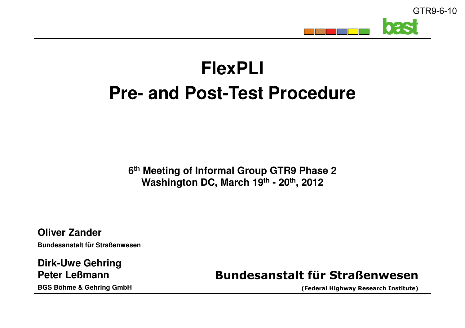

## **FlexPLIPre- and Post-Test Procedure**

**6th Meeting of Informal Group GTR9 Phase 2Washington DC, March 19th - 20th, 2012**

**Oliver ZanderBundesanstalt für Straßenwesen**

**Dirk-Uwe GehringPeter LeßmannBGS Böhme & Gehring GmbH**

**Bundesanstalt für Straßenwesen**

**(Federal Highway Research Institute)**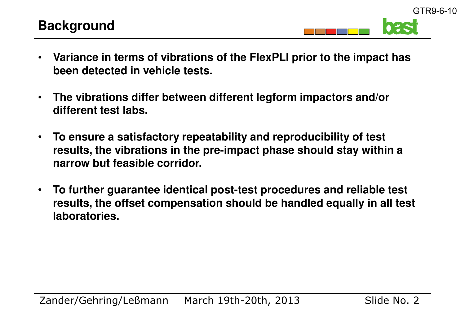GTR9-6-10

- • **Variance in terms of vibrations of the FlexPLI prior to the impact has been detected in vehicle tests.**
- • **The vibrations differ between different legform impactors and/or different test labs.**
- • **To ensure a satisfactory repeatability and reproducibility of test results, the vibrations in the pre-impact phase should stay within a narrow but feasible corridor.**
- • **To further guarantee identical post-test procedures and reliable test results, the offset compensation should be handled equally in all test laboratories.**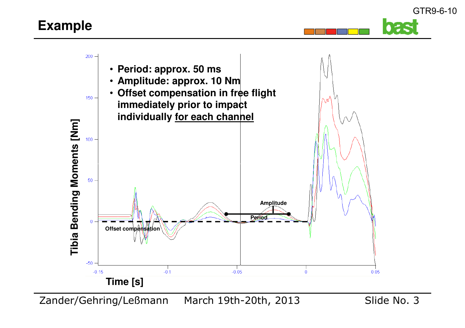## **Example**



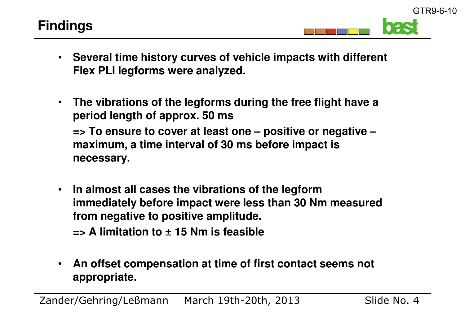GTR9-6-10

- **Several time history curves of vehicle impacts with different Flex PLI legforms were analyzed.**
- $\bullet$  **The vibrations of the legforms during the free flight have a period length of approx. 50 ms => To ensure to cover at least one – positive or negative –maximum, a time interval of 30 ms before impact is necessary.**
- $\bullet$  **In almost all cases the vibrations of the legform immediately before impact were less than 30 Nm measured from negative to positive amplitude.=> A limitation to** ± **15 Nm is feasible**
- • **An offset compensation at time of first contact seems not appropriate.**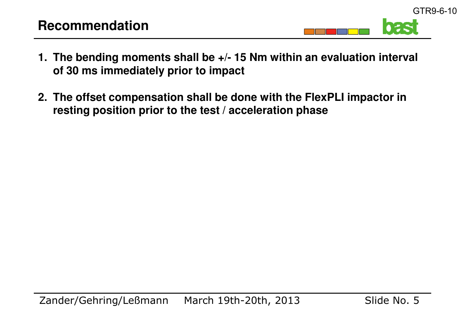TER

GTR9-6-10

- **1. The bending moments shall be +/- 15 Nm within an evaluation interval of 30 ms immediately prior to impact**
- **2. The offset compensation shall be done with the FlexPLI impactor in resting position prior to the test / acceleration phase**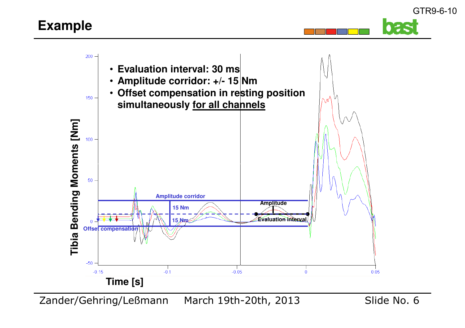## **Example**





Zander/Gehring/Leßmann March 19th-20th, 2013

Slide No. 6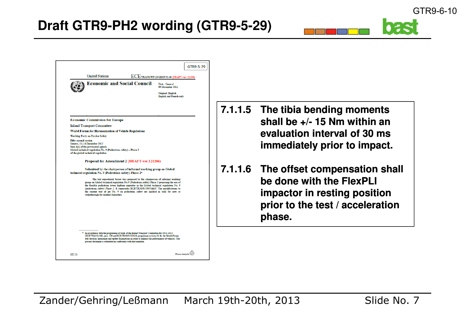| <b>United Nations</b>                                                                                 |                                                                                                                                                                                                                                                                                                                                                                                                                                                    | ECE/TRANS/WP.29/GRSP/52-## (DRAFT-ver.121206)              |  |       |
|-------------------------------------------------------------------------------------------------------|----------------------------------------------------------------------------------------------------------------------------------------------------------------------------------------------------------------------------------------------------------------------------------------------------------------------------------------------------------------------------------------------------------------------------------------------------|------------------------------------------------------------|--|-------|
| <b>Economic and Social Council</b>                                                                    |                                                                                                                                                                                                                                                                                                                                                                                                                                                    | Distr.: General<br>## December 2012                        |  |       |
|                                                                                                       |                                                                                                                                                                                                                                                                                                                                                                                                                                                    | <b>Original: English</b><br><b>English and French only</b> |  |       |
|                                                                                                       |                                                                                                                                                                                                                                                                                                                                                                                                                                                    |                                                            |  | 7.1.1 |
| <b>Economic Commission for Europe</b>                                                                 |                                                                                                                                                                                                                                                                                                                                                                                                                                                    |                                                            |  |       |
|                                                                                                       |                                                                                                                                                                                                                                                                                                                                                                                                                                                    |                                                            |  |       |
| <b>Inland Transport Committee</b>                                                                     |                                                                                                                                                                                                                                                                                                                                                                                                                                                    |                                                            |  |       |
| World Forum for Harmonization of Vehicle Regulations<br><b>Working Party on Passive Safety</b>        |                                                                                                                                                                                                                                                                                                                                                                                                                                                    |                                                            |  |       |
| Global technical regulation No. 9 (Pedestrian safety) - Phase 2<br>of the global technical regulation | Proposal for Amendment 2 (DRAFT-ver.121206)                                                                                                                                                                                                                                                                                                                                                                                                        |                                                            |  |       |
| technical regulation No. 9 (Pedestrian safety)-Phase 2*                                               | Submitted by the chairperson of informal working group on Global                                                                                                                                                                                                                                                                                                                                                                                   |                                                            |  | 7.1.1 |
| strikethrough for deleted characters.                                                                 | The text reproduced below was prepared by the chairperson of informal working<br>group on Global technical regulation No.9 (Pedestrian safety)-Phase 2 proposing the use of<br>the flexible pedestrian lower legform impactor in the Global technical regulation No. 9<br>(pedestrian safety) Phase 2. It supersedes ECE/TRANS/180/Add.9. The modifications to<br>the current text of gtr No. 9 on pedestrian safety are marked in bold for new or |                                                            |  |       |
|                                                                                                       |                                                                                                                                                                                                                                                                                                                                                                                                                                                    |                                                            |  |       |
| present document is submitted in conformity with that mandate.                                        | * In accordance with the programme of work of the Inland Transport Committee for 2010-2014<br>(ECE/TRANS/208, para. 106 and ECE/TRANS/2010/8, programme activity 02.4), the World Forum<br>will develop, harmonize and update Regulations in order to enhance the performance of vehicles. The                                                                                                                                                     |                                                            |  |       |
|                                                                                                       |                                                                                                                                                                                                                                                                                                                                                                                                                                                    |                                                            |  |       |

- **7.1.1.5 The tibia bending moments shall be +/- 15 Nm within an evaluation interval of 30 ms immediately prior to impact.**
- **7.1.1.6 The offset compensation shall be done with the FlexPLI impactor in resting position prior to the test / accelerationphase.**

025